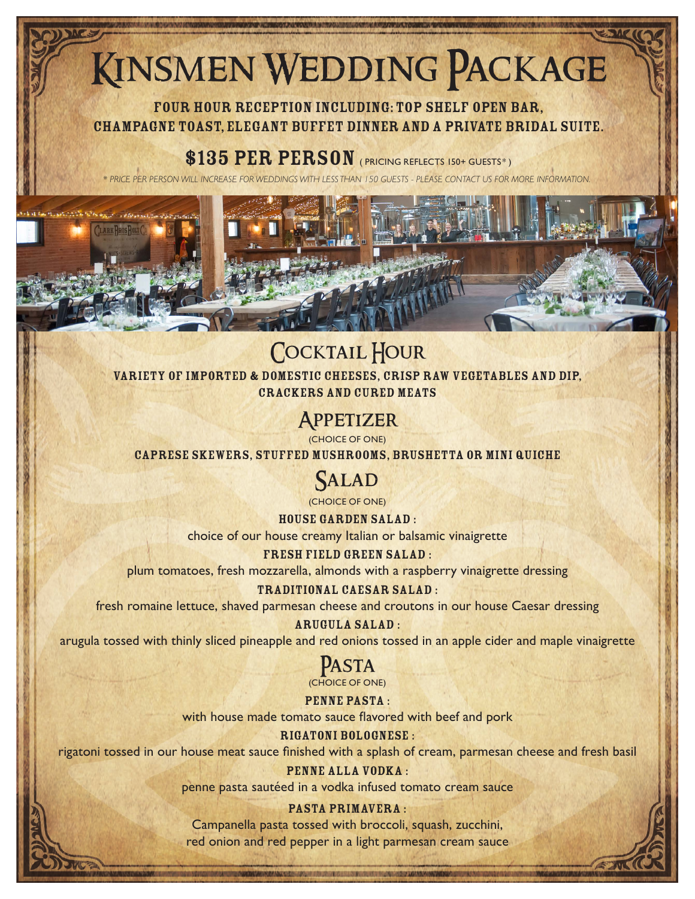# Kinsmen Wedding Package

Four hour reception including: Top Shelf Open Bar, Champagne Toast, Elegant Buffet Dinner and a Private Bridal Suite.

\$135 PER PERSON ( PRICING REFLECTS 150+ GUESTS\*)

*\* PRICE PER PERSON WILL INCREASE FOR WEDDINGS WITH LESS THAN 150 GUESTS - PLEASE CONTACT US FOR MORE INFORMATION.*

# COCKTAIL HOUR

Variety of Imported & Domestic Cheeses, Crisp Raw Vegetables and Dip, Crackers and Cured meats

## **APPETIZER**

(CHOICE OF ONE)

Caprese Skewers, Stuffed Mushrooms, Brushetta or Mini Quiche

## **SALAD**

(CHOICE OF ONE)

House Garden Salad : choice of our house creamy Italian or balsamic vinaigrette

Fresh Field Green Salad : plum tomatoes, fresh mozzarella, almonds with a raspberry vinaigrette dressing

Traditional Caesar Salad :

fresh romaine lettuce, shaved parmesan cheese and croutons in our house Caesar dressing

## Arugula Salad :

arugula tossed with thinly sliced pineapple and red onions tossed in an apple cider and maple vinaigrette

## Pasta (CHOICE OF ONE)

PENNE PASTA : with house made tomato sauce flavored with beef and pork

## Rigatoni Bolognese :

rigatoni tossed in our house meat sauce finished with a splash of cream, parmesan cheese and fresh basil

## PENNE ALLA VODKA :

penne pasta sautéed in a vodka infused tomato cream sauce

PASTA PRIMAVERA : Campanella pasta tossed with broccoli, squash, zucchini, red onion and red pepper in a light parmesan cream sauce

AND CHECK ARRAIGNMENT CONTRACTOR OF THE CONTRACTOR AND MANUSCRIPT